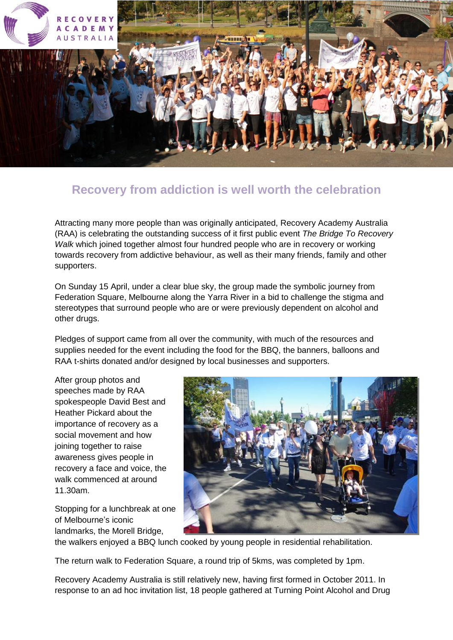

## **Recovery from addiction is well worth the celebration**

Attracting many more people than was originally anticipated, Recovery Academy Australia (RAA) is celebrating the outstanding success of it first public event *The Bridge To Recovery Walk* which joined together almost four hundred people who are in recovery or working towards recovery from addictive behaviour, as well as their many friends, family and other supporters.

On Sunday 15 April, under a clear blue sky, the group made the symbolic journey from Federation Square, Melbourne along the Yarra River in a bid to challenge the stigma and stereotypes that surround people who are or were previously dependent on alcohol and other drugs.

Pledges of support came from all over the community, with much of the resources and supplies needed for the event including the food for the BBQ, the banners, balloons and RAA t-shirts donated and/or designed by local businesses and supporters.

After group photos and speeches made by RAA spokespeople David Best and Heather Pickard about the importance of recovery as a social movement and how joining together to raise awareness gives people in recovery a face and voice, the walk commenced at around 11.30am.

Stopping for a lunchbreak at one of Melbourne's iconic landmarks, the Morell Bridge,



the walkers enjoyed a BBQ lunch cooked by young people in residential rehabilitation.

The return walk to Federation Square, a round trip of 5kms, was completed by 1pm.

Recovery Academy Australia is still relatively new, having first formed in October 2011. In response to an ad hoc invitation list, 18 people gathered at Turning Point Alcohol and Drug